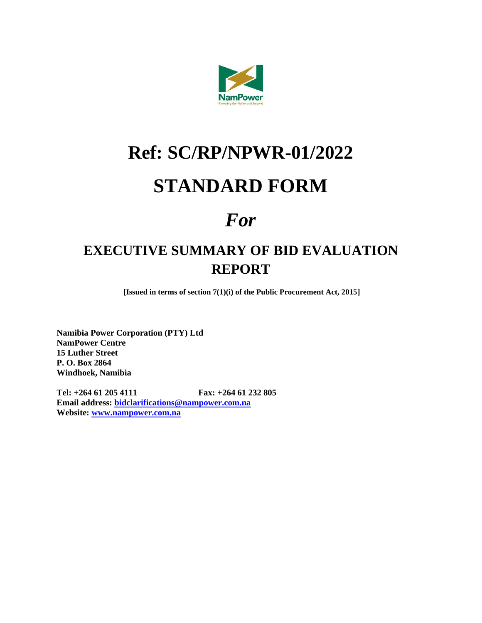

# **Ref: SC/RP/NPWR-01/2022**

## **STANDARD FORM**

## *For*

## **EXECUTIVE SUMMARY OF BID EVALUATION REPORT**

**[Issued in terms of section 7(1)(i) of the Public Procurement Act, 2015]**

**Namibia Power Corporation (PTY) Ltd NamPower Centre 15 Luther Street P. O. Box 2864 Windhoek, Namibia**

**Tel: +264 61 205 4111 Fax: +264 61 232 805 Email address: [bidclarifications@nampower.com.na](mailto:bidclarifications@nampower.com.na) Website: [www.nampower.com.na](http://www.nampower.com.na/)**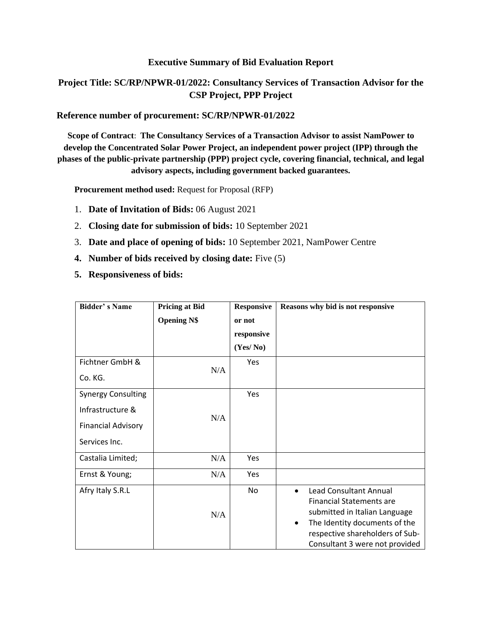#### **Executive Summary of Bid Evaluation Report**

#### **Project Title: SC/RP/NPWR-01/2022: Consultancy Services of Transaction Advisor for the CSP Project, PPP Project**

#### **Reference number of procurement: SC/RP/NPWR-01/2022**

**Scope of Contract**: **The Consultancy Services of a Transaction Advisor to assist NamPower to develop the Concentrated Solar Power Project, an independent power project (IPP) through the phases of the public-private partnership (PPP) project cycle, covering financial, technical, and legal advisory aspects, including government backed guarantees.** 

**Procurement method used:** Request for Proposal (RFP)

- 1. **Date of Invitation of Bids:** 06 August 2021
- 2. **Closing date for submission of bids:** 10 September 2021
- 3. **Date and place of opening of bids:** 10 September 2021, NamPower Centre
- **4. Number of bids received by closing date:** Five (5)
- **5. Responsiveness of bids:**

| <b>Bidder's Name</b>      | <b>Pricing at Bid</b> | <b>Responsive</b> | Reasons why bid is not responsive                                                                                                                                                                                          |
|---------------------------|-----------------------|-------------------|----------------------------------------------------------------------------------------------------------------------------------------------------------------------------------------------------------------------------|
|                           | <b>Opening N\$</b>    | or not            |                                                                                                                                                                                                                            |
|                           |                       | responsive        |                                                                                                                                                                                                                            |
|                           |                       | (Yes/No)          |                                                                                                                                                                                                                            |
| Fichtner GmbH &           |                       | Yes               |                                                                                                                                                                                                                            |
| Co. KG.                   | N/A                   |                   |                                                                                                                                                                                                                            |
| <b>Synergy Consulting</b> |                       | Yes               |                                                                                                                                                                                                                            |
| Infrastructure &          | N/A                   |                   |                                                                                                                                                                                                                            |
| <b>Financial Advisory</b> |                       |                   |                                                                                                                                                                                                                            |
| Services Inc.             |                       |                   |                                                                                                                                                                                                                            |
| Castalia Limited;         | N/A                   | Yes               |                                                                                                                                                                                                                            |
| Ernst & Young;            | N/A                   | Yes               |                                                                                                                                                                                                                            |
| Afry Italy S.R.L          | N/A                   | No                | Lead Consultant Annual<br>$\bullet$<br><b>Financial Statements are</b><br>submitted in Italian Language<br>The Identity documents of the<br>$\bullet$<br>respective shareholders of Sub-<br>Consultant 3 were not provided |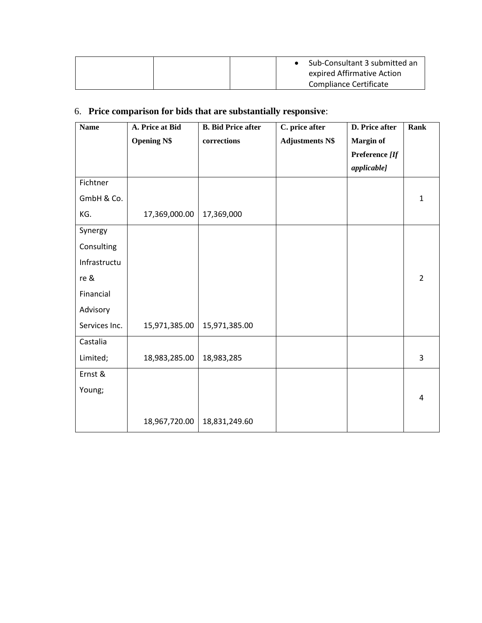| Sub-Consultant 3 submitted an<br>expired Affirmative Action |
|-------------------------------------------------------------|
| Compliance Certificate                                      |

### 6. **Price comparison for bids that are substantially responsive**:

| <b>Name</b>   | A. Price at Bid    | <b>B.</b> Bid Price after | C. price after         | <b>D.</b> Price after | Rank           |
|---------------|--------------------|---------------------------|------------------------|-----------------------|----------------|
|               | <b>Opening N\$</b> | corrections               | <b>Adjustments N\$</b> | Margin of             |                |
|               |                    |                           |                        | Preference [If        |                |
|               |                    |                           |                        | applicable]           |                |
| Fichtner      |                    |                           |                        |                       |                |
| GmbH & Co.    |                    |                           |                        |                       | 1              |
| KG.           | 17,369,000.00      | 17,369,000                |                        |                       |                |
| Synergy       |                    |                           |                        |                       |                |
| Consulting    |                    |                           |                        |                       |                |
| Infrastructu  |                    |                           |                        |                       |                |
| re &          |                    |                           |                        |                       | $\overline{2}$ |
| Financial     |                    |                           |                        |                       |                |
| Advisory      |                    |                           |                        |                       |                |
| Services Inc. | 15,971,385.00      | 15,971,385.00             |                        |                       |                |
| Castalia      |                    |                           |                        |                       |                |
| Limited;      | 18,983,285.00      | 18,983,285                |                        |                       | 3              |
| Ernst &       |                    |                           |                        |                       |                |
| Young;        |                    |                           |                        |                       |                |
|               |                    |                           |                        |                       | 4              |
|               | 18,967,720.00      | 18,831,249.60             |                        |                       |                |